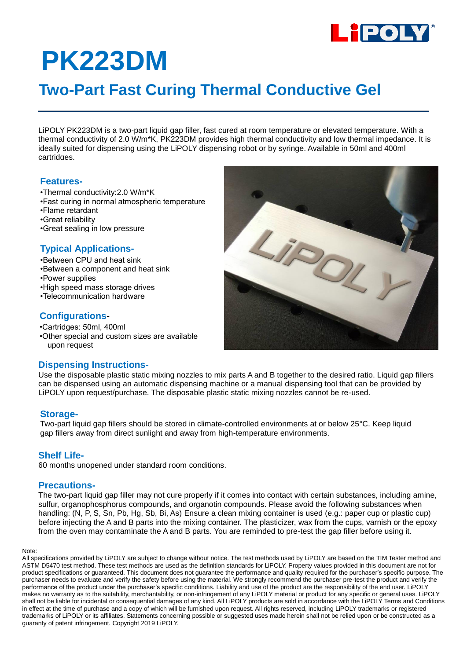

# **PK223DM**

## **Two-Part Fast Curing Thermal Conductive Gel**

LiPOLY PK223DM is a two-part liquid gap filler, fast cured at room temperature or elevated temperature. With a thermal conductivity of 2.0 W/m\*K, PK223DM provides high thermal conductivity and low thermal impedance. It is ideally suited for dispensing using the LiPOLY dispensing robot or by syringe. Available in 50ml and 400ml cartridges.

#### **Features-**

- •Thermal conductivity:2.0 W/m\*K
- •Fast curing in normal atmospheric temperature
- •Flame retardant
- •Great reliability
- •Great sealing in low pressure

### **Typical Applications-**

- •Between CPU and heat sink •Between a component and heat sink •Power supplies •High speed mass storage drives
- •Telecommunication hardware

### **Configurations-**

•Cartridges: 50ml, 400ml •Other special and custom sizes are available upon request

#### **Dispensing Instructions-**

Use the disposable plastic static mixing nozzles to mix parts A and B together to the desired ratio. Liquid gap fillers can be dispensed using an automatic dispensing machine or a manual dispensing tool that can be provided by LiPOLY upon request/purchase. The disposable plastic static mixing nozzles cannot be re-used.

#### **Storage-**

Two-part liquid gap fillers should be stored in climate-controlled environments at or below 25°C. Keep liquid gap fillers away from direct sunlight and away from high-temperature environments.

#### **Shelf Life-**

60 months unopened under standard room conditions.

#### **Precautions-**

The two-part liquid gap filler may not cure properly if it comes into contact with certain substances, including amine, sulfur, organophosphorus compounds, and organotin compounds. Please avoid the following substances when handling: (N, P, S, Sn, Pb, Hg, Sb, Bi, As) Ensure a clean mixing container is used (e.g.: paper cup or plastic cup) before injecting the A and B parts into the mixing container. The plasticizer, wax from the cups, varnish or the epoxy from the oven may contaminate the A and B parts. You are reminded to pre-test the gap filler before using it.

#### Note:

All specifications provided by LiPOLY are subject to change without notice. The test methods used by LiPOLY are based on the TIM Tester method and ASTM D5470 test method. These test methods are used as the definition standards for LiPOLY. Property values provided in this document are not for product specifications or guaranteed. This document does not guarantee the performance and quality required for the purchaser's specific purpose. The purchaser needs to evaluate and verify the safety before using the material. We strongly recommend the purchaser pre-test the product and verify the performance of the product under the purchaser's specific conditions. Liability and use of the product are the responsibility of the end user. LiPOLY makes no warranty as to the suitability, merchantability, or non-infringement of any LiPOLY material or product for any specific or general uses. LiPOLY shall not be liable for incidental or consequential damages of any kind. All LiPOLY products are sold in accordance with the LiPOLY Terms and Conditions in effect at the time of purchase and a copy of which will be furnished upon request. All rights reserved, including LiPOLY trademarks or registered trademarks of LiPOLY or its affiliates. Statements concerning possible or suggested uses made herein shall not be relied upon or be constructed as a guaranty of patent infringement. Copyright 2019 LiPOLY.